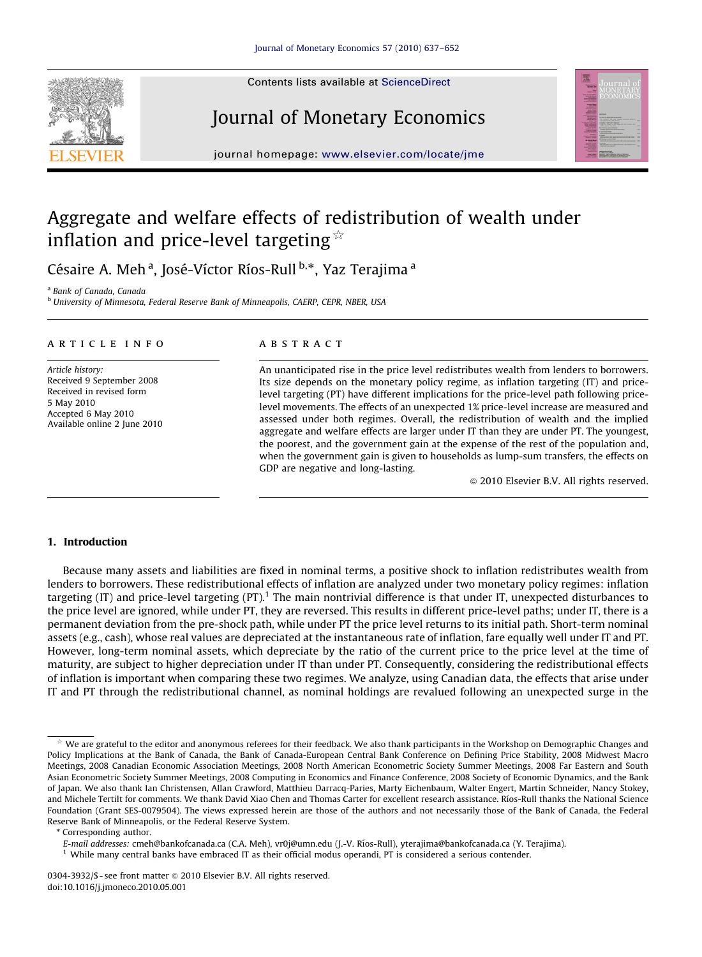Contents lists available at ScienceDirect







journal homepage: <www.elsevier.com/locate/jme>

# Aggregate and welfare effects of redistribution of wealth under inflation and price-level targeting  $\overline{\mathscr{A}}$

Césaire A. Meh<sup>a</sup>, José-Víctor Ríos-Rull<sup>b,\*</sup>, Yaz Terajima<sup>a</sup>

<sup>a</sup> Bank of Canada, Canada

**b University of Minnesota, Federal Reserve Bank of Minneapolis, CAERP, CEPR, NBER, USA** 

#### article info

Article history: Received 9 September 2008 Received in revised form 5 May 2010 Accepted 6 May 2010 Available online 2 June 2010

# **ABSTRACT**

An unanticipated rise in the price level redistributes wealth from lenders to borrowers. Its size depends on the monetary policy regime, as inflation targeting (IT) and pricelevel targeting (PT) have different implications for the price-level path following pricelevel movements. The effects of an unexpected 1% price-level increase are measured and assessed under both regimes. Overall, the redistribution of wealth and the implied aggregate and welfare effects are larger under IT than they are under PT. The youngest, the poorest, and the government gain at the expense of the rest of the population and, when the government gain is given to households as lump-sum transfers, the effects on GDP are negative and long-lasting.

 $\odot$  2010 Elsevier B.V. All rights reserved.

# 1. Introduction

Because many assets and liabilities are fixed in nominal terms, a positive shock to inflation redistributes wealth from lenders to borrowers. These redistributional effects of inflation are analyzed under two monetary policy regimes: inflation targeting (IT) and price-level targeting  $(PT)$ .<sup>1</sup> The main nontrivial difference is that under IT, unexpected disturbances to the price level are ignored, while under PT, they are reversed. This results in different price-level paths; under IT, there is a permanent deviation from the pre-shock path, while under PT the price level returns to its initial path. Short-term nominal assets (e.g., cash), whose real values are depreciated at the instantaneous rate of inflation, fare equally well under IT and PT. However, long-term nominal assets, which depreciate by the ratio of the current price to the price level at the time of maturity, are subject to higher depreciation under IT than under PT. Consequently, considering the redistributional effects of inflation is important when comparing these two regimes. We analyze, using Canadian data, the effects that arise under IT and PT through the redistributional channel, as nominal holdings are revalued following an unexpected surge in the

Corresponding author.

E-mail addresses: [cmeh@bankofcanada.ca \(C.A. Meh\),](mailto:cmeh@bankofcanada.ca) vr0j@umn.edu (J.-V. Ríos-Rull), [yterajima@bankofcanada.ca \(Y. Terajima\).](mailto:yterajima@bankofcanada.ca)

 $<sup>1</sup>$  While many central banks have embraced IT as their official modus operandi, PT is considered a serious contender.</sup>

We are grateful to the editor and anonymous referees for their feedback. We also thank participants in the Workshop on Demographic Changes and Policy Implications at the Bank of Canada, the Bank of Canada-European Central Bank Conference on Defining Price Stability, 2008 Midwest Macro Meetings, 2008 Canadian Economic Association Meetings, 2008 North American Econometric Society Summer Meetings, 2008 Far Eastern and South Asian Econometric Society Summer Meetings, 2008 Computing in Economics and Finance Conference, 2008 Society of Economic Dynamics, and the Bank of Japan. We also thank Ian Christensen, Allan Crawford, Matthieu Darracq-Paries, Marty Eichenbaum, Walter Engert, Martin Schneider, Nancy Stokey, and Michele Tertilt for comments. We thank David Xiao Chen and Thomas Carter for excellent research assistance. Ríos-Rull thanks the National Science Foundation (Grant SES-0079504). The views expressed herein are those of the authors and not necessarily those of the Bank of Canada, the Federal Reserve Bank of Minneapolis, or the Federal Reserve System.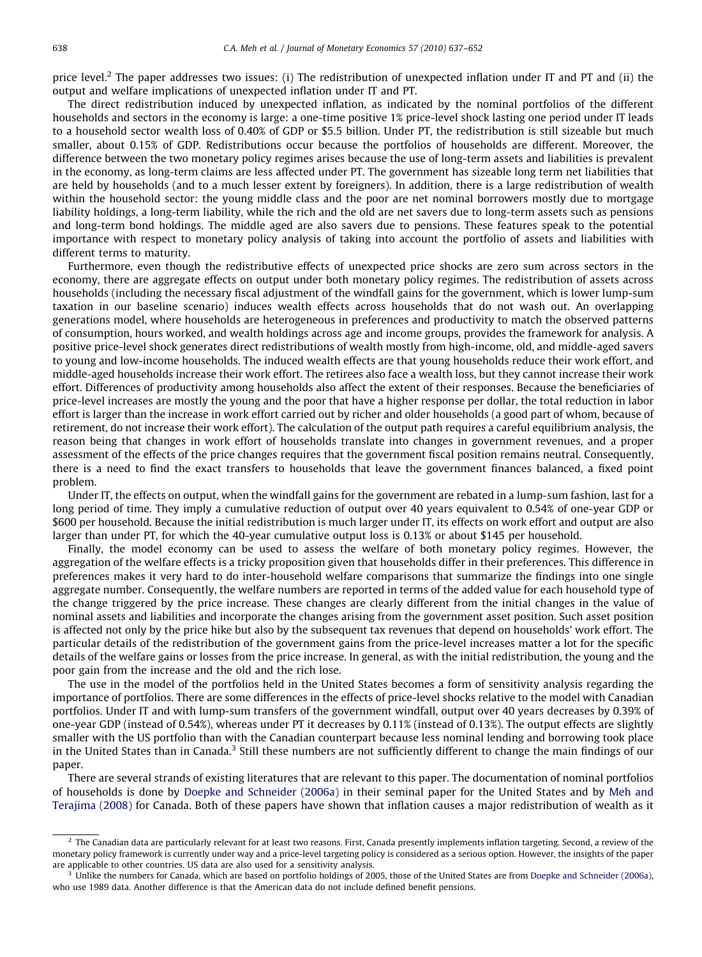price level.<sup>2</sup> The paper addresses two issues: (i) The redistribution of unexpected inflation under IT and PT and (ii) the output and welfare implications of unexpected inflation under IT and PT.

The direct redistribution induced by unexpected inflation, as indicated by the nominal portfolios of the different households and sectors in the economy is large: a one-time positive 1% price-level shock lasting one period under IT leads to a household sector wealth loss of 0.40% of GDP or \$5.5 billion. Under PT, the redistribution is still sizeable but much smaller, about 0.15% of GDP. Redistributions occur because the portfolios of households are different. Moreover, the difference between the two monetary policy regimes arises because the use of long-term assets and liabilities is prevalent in the economy, as long-term claims are less affected under PT. The government has sizeable long term net liabilities that are held by households (and to a much lesser extent by foreigners). In addition, there is a large redistribution of wealth within the household sector: the young middle class and the poor are net nominal borrowers mostly due to mortgage liability holdings, a long-term liability, while the rich and the old are net savers due to long-term assets such as pensions and long-term bond holdings. The middle aged are also savers due to pensions. These features speak to the potential importance with respect to monetary policy analysis of taking into account the portfolio of assets and liabilities with different terms to maturity.

Furthermore, even though the redistributive effects of unexpected price shocks are zero sum across sectors in the economy, there are aggregate effects on output under both monetary policy regimes. The redistribution of assets across households (including the necessary fiscal adjustment of the windfall gains for the government, which is lower lump-sum taxation in our baseline scenario) induces wealth effects across households that do not wash out. An overlapping generations model, where households are heterogeneous in preferences and productivity to match the observed patterns of consumption, hours worked, and wealth holdings across age and income groups, provides the framework for analysis. A positive price-level shock generates direct redistributions of wealth mostly from high-income, old, and middle-aged savers to young and low-income households. The induced wealth effects are that young households reduce their work effort, and middle-aged households increase their work effort. The retirees also face a wealth loss, but they cannot increase their work effort. Differences of productivity among households also affect the extent of their responses. Because the beneficiaries of price-level increases are mostly the young and the poor that have a higher response per dollar, the total reduction in labor effort is larger than the increase in work effort carried out by richer and older households (a good part of whom, because of retirement, do not increase their work effort). The calculation of the output path requires a careful equilibrium analysis, the reason being that changes in work effort of households translate into changes in government revenues, and a proper assessment of the effects of the price changes requires that the government fiscal position remains neutral. Consequently, there is a need to find the exact transfers to households that leave the government finances balanced, a fixed point problem.

Under IT, the effects on output, when the windfall gains for the government are rebated in a lump-sum fashion, last for a long period of time. They imply a cumulative reduction of output over 40 years equivalent to 0.54% of one-year GDP or \$600 per household. Because the initial redistribution is much larger under IT, its effects on work effort and output are also larger than under PT, for which the 40-year cumulative output loss is 0.13% or about \$145 per household.

Finally, the model economy can be used to assess the welfare of both monetary policy regimes. However, the aggregation of the welfare effects is a tricky proposition given that households differ in their preferences. This difference in preferences makes it very hard to do inter-household welfare comparisons that summarize the findings into one single aggregate number. Consequently, the welfare numbers are reported in terms of the added value for each household type of the change triggered by the price increase. These changes are clearly different from the initial changes in the value of nominal assets and liabilities and incorporate the changes arising from the government asset position. Such asset position is affected not only by the price hike but also by the subsequent tax revenues that depend on households' work effort. The particular details of the redistribution of the government gains from the price-level increases matter a lot for the specific details of the welfare gains or losses from the price increase. In general, as with the initial redistribution, the young and the poor gain from the increase and the old and the rich lose.

The use in the model of the portfolios held in the United States becomes a form of sensitivity analysis regarding the importance of portfolios. There are some differences in the effects of price-level shocks relative to the model with Canadian portfolios. Under IT and with lump-sum transfers of the government windfall, output over 40 years decreases by 0.39% of one-year GDP (instead of 0.54%), whereas under PT it decreases by 0.11% (instead of 0.13%). The output effects are slightly smaller with the US portfolio than with the Canadian counterpart because less nominal lending and borrowing took place in the United States than in Canada.<sup>3</sup> Still these numbers are not sufficiently different to change the main findings of our paper.

There are several strands of existing literatures that are relevant to this paper. The documentation of nominal portfolios of households is done by [Doepke and Schneider \(2006a\)](#page-15-0) in their seminal paper for the United States and by [Meh and](#page-15-0) [Terajima \(2008\)](#page-15-0) for Canada. Both of these papers have shown that inflation causes a major redistribution of wealth as it

 $<sup>2</sup>$  The Canadian data are particularly relevant for at least two reasons. First, Canada presently implements inflation targeting. Second, a review of the</sup> monetary policy framework is currently under way and a price-level targeting policy is considered as a serious option. However, the insights of the paper are applicable to other countries. US data are also used for a sensitivity analysis.

 $3$  Unlike the numbers for Canada, which are based on portfolio holdings of 2005, those of the United States are from [Doepke and Schneider \(2006a\),](#page-15-0) who use 1989 data. Another difference is that the American data do not include defined benefit pensions.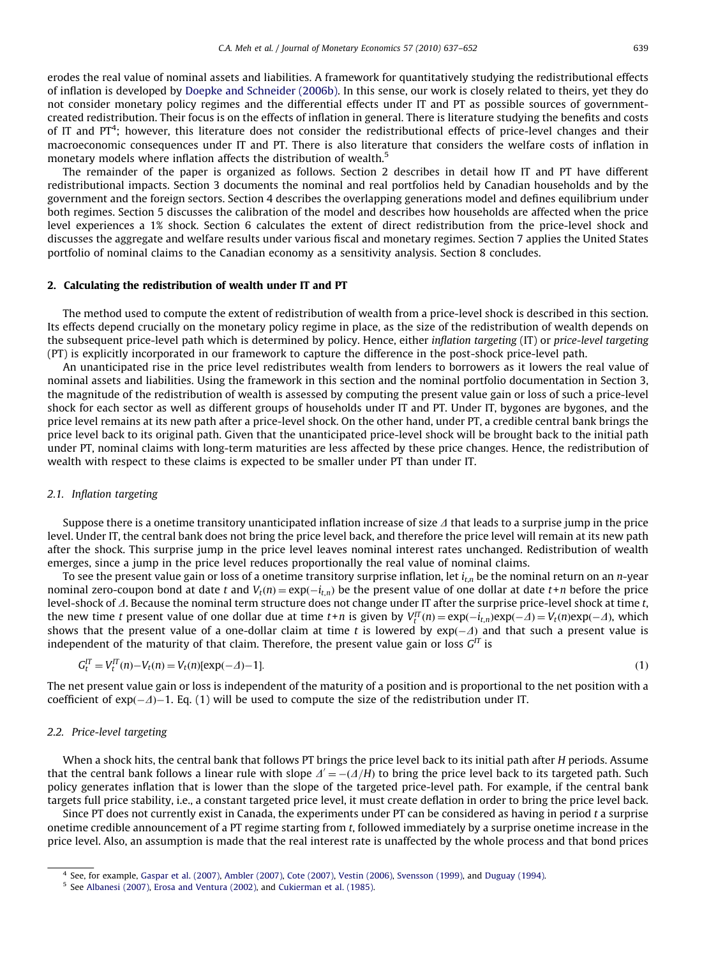erodes the real value of nominal assets and liabilities. A framework for quantitatively studying the redistributional effects of inflation is developed by [Doepke and Schneider \(2006b\).](#page-15-0) In this sense, our work is closely related to theirs, yet they do not consider monetary policy regimes and the differential effects under IT and PT as possible sources of governmentcreated redistribution. Their focus is on the effects of inflation in general. There is literature studying the benefits and costs of IT and  $PT^4$ ; however, this literature does not consider the redistributional effects of price-level changes and their macroeconomic consequences under IT and PT. There is also literature that considers the welfare costs of inflation in monetary models where inflation affects the distribution of wealth.<sup>5</sup>

The remainder of the paper is organized as follows. Section 2 describes in detail how IT and PT have different redistributional impacts. Section 3 documents the nominal and real portfolios held by Canadian households and by the government and the foreign sectors. Section 4 describes the overlapping generations model and defines equilibrium under both regimes. Section 5 discusses the calibration of the model and describes how households are affected when the price level experiences a 1% shock. Section 6 calculates the extent of direct redistribution from the price-level shock and discusses the aggregate and welfare results under various fiscal and monetary regimes. Section 7 applies the United States portfolio of nominal claims to the Canadian economy as a sensitivity analysis. Section 8 concludes.

# 2. Calculating the redistribution of wealth under IT and PT

The method used to compute the extent of redistribution of wealth from a price-level shock is described in this section. Its effects depend crucially on the monetary policy regime in place, as the size of the redistribution of wealth depends on the subsequent price-level path which is determined by policy. Hence, either inflation targeting (IT) or price-level targeting (PT) is explicitly incorporated in our framework to capture the difference in the post-shock price-level path.

An unanticipated rise in the price level redistributes wealth from lenders to borrowers as it lowers the real value of nominal assets and liabilities. Using the framework in this section and the nominal portfolio documentation in Section 3, the magnitude of the redistribution of wealth is assessed by computing the present value gain or loss of such a price-level shock for each sector as well as different groups of households under IT and PT. Under IT, bygones are bygones, and the price level remains at its new path after a price-level shock. On the other hand, under PT, a credible central bank brings the price level back to its original path. Given that the unanticipated price-level shock will be brought back to the initial path under PT, nominal claims with long-term maturities are less affected by these price changes. Hence, the redistribution of wealth with respect to these claims is expected to be smaller under PT than under IT.

# 2.1. Inflation targeting

Suppose there is a onetime transitory unanticipated inflation increase of size  $\varDelta$  that leads to a surprise jump in the price level. Under IT, the central bank does not bring the price level back, and therefore the price level will remain at its new path after the shock. This surprise jump in the price level leaves nominal interest rates unchanged. Redistribution of wealth emerges, since a jump in the price level reduces proportionally the real value of nominal claims.

To see the present value gain or loss of a onetime transitory surprise inflation, let  $i_{tn}$  be the nominal return on an *n*-year nominal zero-coupon bond at date t and  $V_t(n) = \exp(-i_{t,n})$  be the present value of one dollar at date t+n before the price level-shock of  $\Lambda$ . Because the nominal term structure does not change under IT after the surprise price-level shock at time t, the new time t present value of one dollar due at time  $t+n$  is given by  $V_t^{\Pi}(n) = \exp(-i_{t,n})\exp(-\Delta) = V_t(n)\exp(-\Delta)$ , which shows that the present value of a one-dollar claim at time t is lowered by  $exp(-\Delta)$  and that such a present value is independent of the maturity of that claim. Therefore, the present value gain or loss  $G^{IT}$  is

$$
G_t^{IT} = V_t^{IT}(n) - V_t(n) = V_t(n)[\exp(-\Delta) - 1].
$$
\n(1)

The net present value gain or loss is independent of the maturity of a position and is proportional to the net position with a coefficient of  $exp(-\Delta)-1$ . Eq. (1) will be used to compute the size of the redistribution under IT.

# 2.2. Price-level targeting

When a shock hits, the central bank that follows PT brings the price level back to its initial path after H periods. Assume that the central bank follows a linear rule with slope  $\Delta' = -(A/H)$  to bring the price level back to its targeted path. Such policy generates inflation that is lower than the slope of the targeted price-level path. For example, if the central bank targets full price stability, i.e., a constant targeted price level, it must create deflation in order to bring the price level back.

Since PT does not currently exist in Canada, the experiments under PT can be considered as having in period t a surprise onetime credible announcement of a PT regime starting from t, followed immediately by a surprise onetime increase in the price level. Also, an assumption is made that the real interest rate is unaffected by the whole process and that bond prices

 $4$  See, for example, [Gaspar et al. \(2007\)](#page-15-0), [Ambler \(2007\)](#page-15-0), [Cote \(2007\),](#page-15-0) [Vestin \(2006\)](#page-15-0), [Svensson \(1999\),](#page-15-0) and [Duguay \(1994\)](#page-15-0).

<sup>5</sup> See [Albanesi \(2007\),](#page-15-0) [Erosa and Ventura \(2002\),](#page-15-0) and [Cukierman et al. \(1985\).](#page-15-0)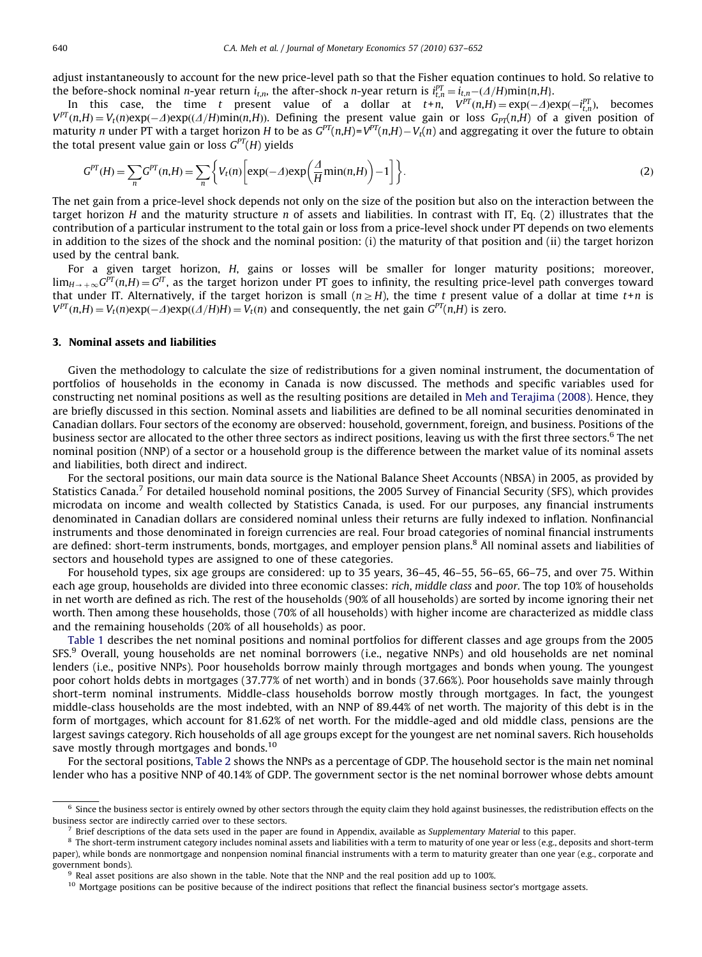adjust instantaneously to account for the new price-level path so that the Fisher equation continues to hold. So relative to the before-shock nominal *n*-year return  $i_{t,n}$ , the after-shock *n*-year return is  $i_{t,n}^{PT} = i_{t,n} - (A/H)min\{n,H\}$ .

In this case, the time t present value of a dollar at  $t+n$ ,  $V^{PT}(n,H) = \exp(-\Delta) \exp(-i_{t,n}^{PT})$ , becomes  $V^{PT}(n,H) = V_t(n) \exp(-\Delta) \exp((\Delta/H) \min(n,H))$ . Defining the present value gain or loss  $G_{PT}(n,H)$  of a given position of maturity  $n$  under PT with a target horizon H to be as  $G^{PT}(n,H)$ =V $^{PT}(n,H)-V_t(n)$  and aggregating it over the future to obtain the total present value gain or loss  $G^{PT}(H)$  yields

$$
G^{PT}(H) = \sum_{n} G^{PT}(n, H) = \sum_{n} \left\{ V_t(n) \left[ \exp(-\varDelta) \exp\left(\frac{\varDelta}{H} \min(n, H)\right) - 1 \right] \right\}.
$$
 (2)

The net gain from a price-level shock depends not only on the size of the position but also on the interaction between the target horizon H and the maturity structure n of assets and liabilities. In contrast with IT, Eq. (2) illustrates that the contribution of a particular instrument to the total gain or loss from a price-level shock under PT depends on two elements in addition to the sizes of the shock and the nominal position: (i) the maturity of that position and (ii) the target horizon used by the central bank.

For a given target horizon, H, gains or losses will be smaller for longer maturity positions; moreover,  $\lim_{H\to+\infty} G^{PT}(n,H) = G^{IT}$ , as the target horizon under PT goes to infinity, the resulting price-level path converges toward that under IT. Alternatively, if the target horizon is small ( $n \geq H$ ), the time t present value of a dollar at time t+n is  $V^{PT}(n,H) = V_t(n) \exp(-\Delta) \exp((\Delta/H)H) = V_t(n)$  and consequently, the net gain  $G^{PT}(n,H)$  is zero.

#### 3. Nominal assets and liabilities

Given the methodology to calculate the size of redistributions for a given nominal instrument, the documentation of portfolios of households in the economy in Canada is now discussed. The methods and specific variables used for constructing net nominal positions as well as the resulting positions are detailed in [Meh and Terajima \(2008\).](#page-15-0) Hence, they are briefly discussed in this section. Nominal assets and liabilities are defined to be all nominal securities denominated in Canadian dollars. Four sectors of the economy are observed: household, government, foreign, and business. Positions of the business sector are allocated to the other three sectors as indirect positions, leaving us with the first three sectors.<sup>6</sup> The net nominal position (NNP) of a sector or a household group is the difference between the market value of its nominal assets and liabilities, both direct and indirect.

For the sectoral positions, our main data source is the National Balance Sheet Accounts (NBSA) in 2005, as provided by Statistics Canada.7 For detailed household nominal positions, the 2005 Survey of Financial Security (SFS), which provides microdata on income and wealth collected by Statistics Canada, is used. For our purposes, any financial instruments denominated in Canadian dollars are considered nominal unless their returns are fully indexed to inflation. Nonfinancial instruments and those denominated in foreign currencies are real. Four broad categories of nominal financial instruments are defined: short-term instruments, bonds, mortgages, and employer pension plans.<sup>8</sup> All nominal assets and liabilities of sectors and household types are assigned to one of these categories.

For household types, six age groups are considered: up to 35 years, 36–45, 46–55, 56–65, 66–75, and over 75. Within each age group, households are divided into three economic classes: rich, middle class and poor. The top 10% of households in net worth are defined as rich. The rest of the households (90% of all households) are sorted by income ignoring their net worth. Then among these households, those (70% of all households) with higher income are characterized as middle class and the remaining households (20% of all households) as poor.

Table 1 describes the net nominal positions and nominal portfolios for different classes and age groups from the 2005 SFS.<sup>9</sup> Overall, young households are net nominal borrowers (i.e., negative NNPs) and old households are net nominal lenders (i.e., positive NNPs). Poor households borrow mainly through mortgages and bonds when young. The youngest poor cohort holds debts in mortgages (37.77% of net worth) and in bonds (37.66%). Poor households save mainly through short-term nominal instruments. Middle-class households borrow mostly through mortgages. In fact, the youngest middle-class households are the most indebted, with an NNP of 89.44% of net worth. The majority of this debt is in the form of mortgages, which account for 81.62% of net worth. For the middle-aged and old middle class, pensions are the largest savings category. Rich households of all age groups except for the youngest are net nominal savers. Rich households save mostly through mortgages and bonds.<sup>10</sup>

For the sectoral positions, Table 2 shows the NNPs as a percentage of GDP. The household sector is the main net nominal lender who has a positive NNP of 40.14% of GDP. The government sector is the net nominal borrower whose debts amount

 $<sup>6</sup>$  Since the business sector is entirely owned by other sectors through the equity claim they hold against businesses, the redistribution effects on the</sup> business sector are indirectly carried over to these sectors.

 $7$  Brief descriptions of the data sets used in the paper are found in Appendix, available as Supplementary Material to this paper.

 $8$  The short-term instrument category includes nominal assets and liabilities with a term to maturity of one year or less (e.g., deposits and short-term paper), while bonds are nonmortgage and nonpension nominal financial instruments with a term to maturity greater than one year (e.g., corporate and government bonds).

 $9$  Real asset positions are also shown in the table. Note that the NNP and the real position add up to 100%.

 $10$  Mortgage positions can be positive because of the indirect positions that reflect the financial business sector's mortgage assets.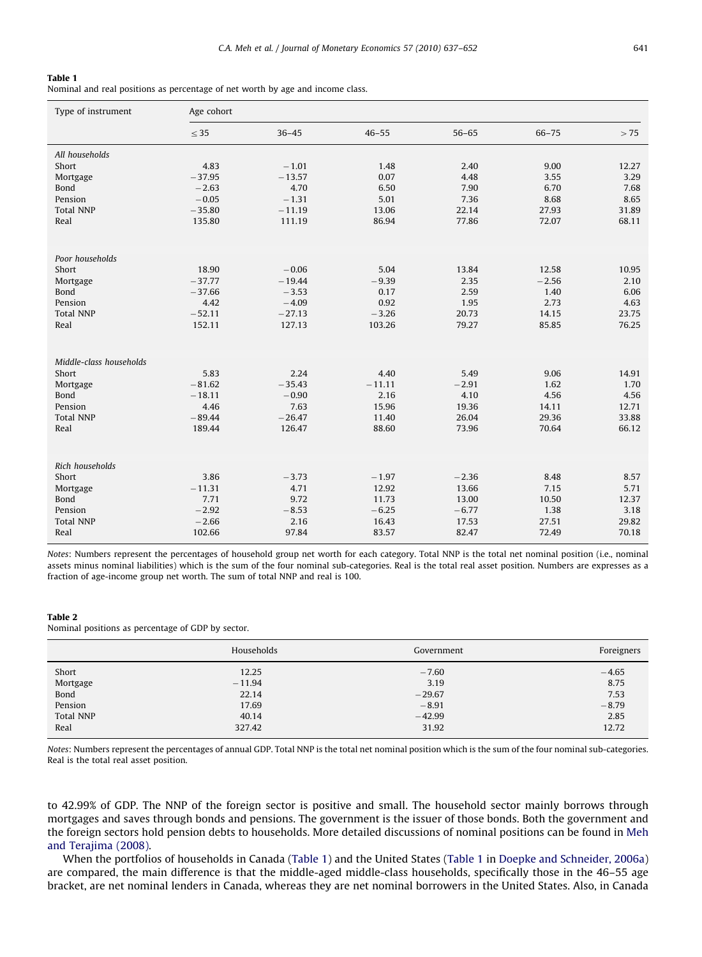#### Table 1

Nominal and real positions as percentage of net worth by age and income class.

| Type of instrument      | Age cohort |           |           |           |           |       |  |
|-------------------------|------------|-----------|-----------|-----------|-----------|-------|--|
|                         | $<$ 35     | $36 - 45$ | $46 - 55$ | $56 - 65$ | $66 - 75$ | > 75  |  |
| All households          |            |           |           |           |           |       |  |
| Short                   | 4.83       | $-1.01$   | 1.48      | 2.40      | 9.00      | 12.27 |  |
| Mortgage                | $-37.95$   | $-13.57$  | 0.07      | 4.48      | 3.55      | 3.29  |  |
| Bond                    | $-2.63$    | 4.70      | 6.50      | 7.90      | 6.70      | 7.68  |  |
| Pension                 | $-0.05$    | $-1.31$   | 5.01      | 7.36      | 8.68      | 8.65  |  |
| <b>Total NNP</b>        | $-35.80$   | $-11.19$  | 13.06     | 22.14     | 27.93     | 31.89 |  |
| Real                    | 135.80     | 111.19    | 86.94     | 77.86     | 72.07     | 68.11 |  |
|                         |            |           |           |           |           |       |  |
| Poor households         |            |           |           |           |           |       |  |
| Short                   | 18.90      | $-0.06$   | 5.04      | 13.84     | 12.58     | 10.95 |  |
| Mortgage                | $-37.77$   | $-19.44$  | $-9.39$   | 2.35      | $-2.56$   | 2.10  |  |
| Bond                    | $-37.66$   | $-3.53$   | 0.17      | 2.59      | 1.40      | 6.06  |  |
| Pension                 | 4.42       | $-4.09$   | 0.92      | 1.95      | 2.73      | 4.63  |  |
| <b>Total NNP</b>        | $-52.11$   | $-27.13$  | $-3.26$   | 20.73     | 14.15     | 23.75 |  |
| Real                    | 152.11     | 127.13    | 103.26    | 79.27     | 85.85     | 76.25 |  |
|                         |            |           |           |           |           |       |  |
| Middle-class households |            |           |           |           |           |       |  |
| Short                   | 5.83       | 2.24      | 4.40      | 5.49      | 9.06      | 14.91 |  |
| Mortgage                | $-81.62$   | $-35.43$  | $-11.11$  | $-2.91$   | 1.62      | 1.70  |  |
| Bond                    | $-18.11$   | $-0.90$   | 2.16      | 4.10      | 4.56      | 4.56  |  |
| Pension                 | 4.46       | 7.63      | 15.96     | 19.36     | 14.11     | 12.71 |  |
| <b>Total NNP</b>        | $-89.44$   | $-26.47$  | 11.40     | 26.04     | 29.36     | 33.88 |  |
| Real                    | 189.44     | 126.47    | 88.60     | 73.96     | 70.64     | 66.12 |  |
|                         |            |           |           |           |           |       |  |
| Rich households         |            |           |           |           |           |       |  |
| Short                   | 3.86       | $-3.73$   | $-1.97$   | $-2.36$   | 8.48      | 8.57  |  |
| Mortgage                | $-11.31$   | 4.71      | 12.92     | 13.66     | 7.15      | 5.71  |  |
| Bond                    | 7.71       | 9.72      | 11.73     | 13.00     | 10.50     | 12.37 |  |
| Pension                 | $-2.92$    | $-8.53$   | $-6.25$   | $-6.77$   | 1.38      | 3.18  |  |
| <b>Total NNP</b>        | $-2.66$    | 2.16      | 16.43     | 17.53     | 27.51     | 29.82 |  |
| Real                    | 102.66     | 97.84     | 83.57     | 82.47     | 72.49     | 70.18 |  |

Notes: Numbers represent the percentages of household group net worth for each category. Total NNP is the total net nominal position (i.e., nominal assets minus nominal liabilities) which is the sum of the four nominal sub-categories. Real is the total real asset position. Numbers are expresses as a fraction of age-income group net worth. The sum of total NNP and real is 100.

#### Table 2

Nominal positions as percentage of GDP by sector.

|           | Households | Government | Foreigners |
|-----------|------------|------------|------------|
| Short     | 12.25      | $-7.60$    | $-4.65$    |
| Mortgage  | $-11.94$   | 3.19       | 8.75       |
| Bond      | 22.14      | $-29.67$   | 7.53       |
| Pension   | 17.69      | $-8.91$    | $-8.79$    |
| Total NNP | 40.14      | $-42.99$   | 2.85       |
| Real      | 327.42     | 31.92      | 12.72      |

Notes: Numbers represent the percentages of annual GDP. Total NNP is the total net nominal position which is the sum of the four nominal sub-categories. Real is the total real asset position.

to 42.99% of GDP. The NNP of the foreign sector is positive and small. The household sector mainly borrows through mortgages and saves through bonds and pensions. The government is the issuer of those bonds. Both the government and the foreign sectors hold pension debts to households. More detailed discussions of nominal positions can be found in [Meh](#page-15-0) [and Terajima \(2008\)](#page-15-0).

When the portfolios of households in Canada (Table 1) and the United States (Table 1 in [Doepke and Schneider, 2006a](#page-15-0)) are compared, the main difference is that the middle-aged middle-class households, specifically those in the 46–55 age bracket, are net nominal lenders in Canada, whereas they are net nominal borrowers in the United States. Also, in Canada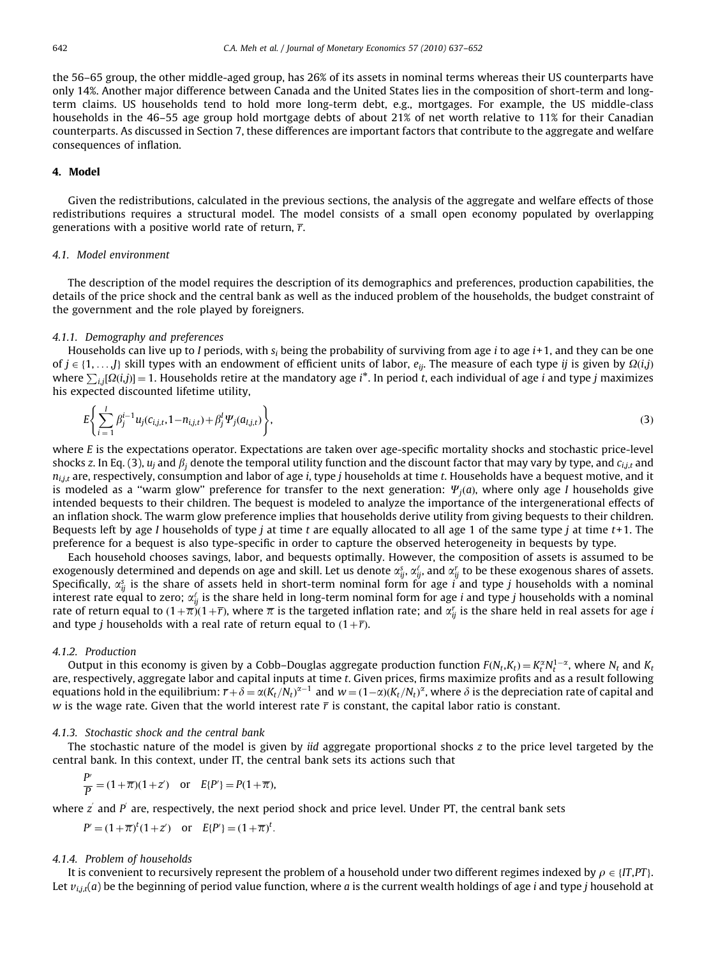the 56–65 group, the other middle-aged group, has 26% of its assets in nominal terms whereas their US counterparts have only 14%. Another major difference between Canada and the United States lies in the composition of short-term and longterm claims. US households tend to hold more long-term debt, e.g., mortgages. For example, the US middle-class households in the 46–55 age group hold mortgage debts of about 21% of net worth relative to 11% for their Canadian counterparts. As discussed in Section 7, these differences are important factors that contribute to the aggregate and welfare consequences of inflation.

# 4. Model

Given the redistributions, calculated in the previous sections, the analysis of the aggregate and welfare effects of those redistributions requires a structural model. The model consists of a small open economy populated by overlapping generations with a positive world rate of return,  $\bar{r}$ .

## 4.1. Model environment

The description of the model requires the description of its demographics and preferences, production capabilities, the details of the price shock and the central bank as well as the induced problem of the households, the budget constraint of the government and the role played by foreigners.

#### 4.1.1. Demography and preferences

Households can live up to I periods, with  $s_i$  being the probability of surviving from age i to age i+1, and they can be one of  $j \in \{1, \ldots, J\}$  skill types with an endowment of efficient units of labor,  $e_{ij}$ . The measure of each type ij is given by  $\Omega(i,j)$ where  $\sum_{i,j} [\Omega(i,j)] = 1$ . Households retire at the mandatory age i\*. In period t, each individual of age i and type j maximizes his expected discounted lifetime utility,

$$
E\left\{\sum_{i=1}^{I} \beta_j^{i-1} u_j(c_{i,j,t}, 1-n_{i,j,t}) + \beta_j^l \Psi_j(a_{i,j,t})\right\},\tag{3}
$$

where E is the expectations operator. Expectations are taken over age-specific mortality shocks and stochastic price-level shocks z. In Eq. (3),  $u_i$  and  $\beta_i$  denote the temporal utility function and the discount factor that may vary by type, and  $c_{i,i,t}$  and  $n_{i,i,t}$  are, respectively, consumption and labor of age *i*, type *j* households at time *t*. Households have a bequest motive, and it is modeled as a "warm glow" preference for transfer to the next generation:  $\Psi_j(a)$ , where only age I households give intended bequests to their children. The bequest is modeled to analyze the importance of the intergenerational effects of an inflation shock. The warm glow preference implies that households derive utility from giving bequests to their children. Bequests left by age I households of type  $j$  at time  $t$  are equally allocated to all age 1 of the same type  $j$  at time  $t+1$ . The preference for a bequest is also type-specific in order to capture the observed heterogeneity in bequests by type.

Each household chooses savings, labor, and bequests optimally. However, the composition of assets is assumed to be exogenously determined and depends on age and skill. Let us denote  $\alpha^s_{ij}$ ,  $\alpha^{\ell}_{ij}$ , and  $\alpha^r_{ij}$  to be these exogenous shares of assets. Specifically,  $\alpha_{ij}^s$  is the share of assets held in short-term nominal form for age  $i$  and type  $j$  households with a nominal interest rate equal to zero;  $\alpha_{ij}^\ell$  is the share held in long-term nominal form for age  $i$  and type  $j$  households with a nominal rate of return equal to  $(1+\overline\pi)(1+\overline r)$ , where  $\overline\pi$  is the targeted inflation rate; and  $\alpha_{ij}^r$  is the share held in real assets for age i and type *j* households with a real rate of return equal to  $(1+\bar{r})$ .

#### 4.1.2. Production

Output in this economy is given by a Cobb–Douglas aggregate production function  $F(N_t, K_t) = K_t^{\alpha} N_t^{1-\alpha}$ , where  $N_t$  and  $K_t$ are, respectively, aggregate labor and capital inputs at time t. Given prices, firms maximize profits and as a result following equations hold in the equilibrium:  $\bar r+\delta=\alpha(K_t/N_t)^{\alpha-1}$  and  $w=(1-\alpha)(K_t/N_t)^\alpha$ , where  $\delta$  is the depreciation rate of capital and w is the wage rate. Given that the world interest rate  $\bar{r}$  is constant, the capital labor ratio is constant.

#### 4.1.3. Stochastic shock and the central bank

The stochastic nature of the model is given by *iid* aggregate proportional shocks z to the price level targeted by the central bank. In this context, under IT, the central bank sets its actions such that

$$
\frac{P'}{P} = (1 + \overline{\pi})(1 + z') \quad \text{or} \quad E\{P'\} = P(1 + \overline{\pi}),
$$

where  $z^{'}$  and  $P^{'}$  are, respectively, the next period shock and price level. Under PT, the central bank sets

$$
P' = (1 + \overline{\pi})^t (1 + z')
$$
 or  $E\{P'\} = (1 + \overline{\pi})^t$ .

#### 4.1.4. Problem of households

It is convenient to recursively represent the problem of a household under two different regimes indexed by  $\rho \in \{IT, PT\}$ . Let  $v_{i,j,t}(a)$  be the beginning of period value function, where a is the current wealth holdings of age *i* and type *j* household at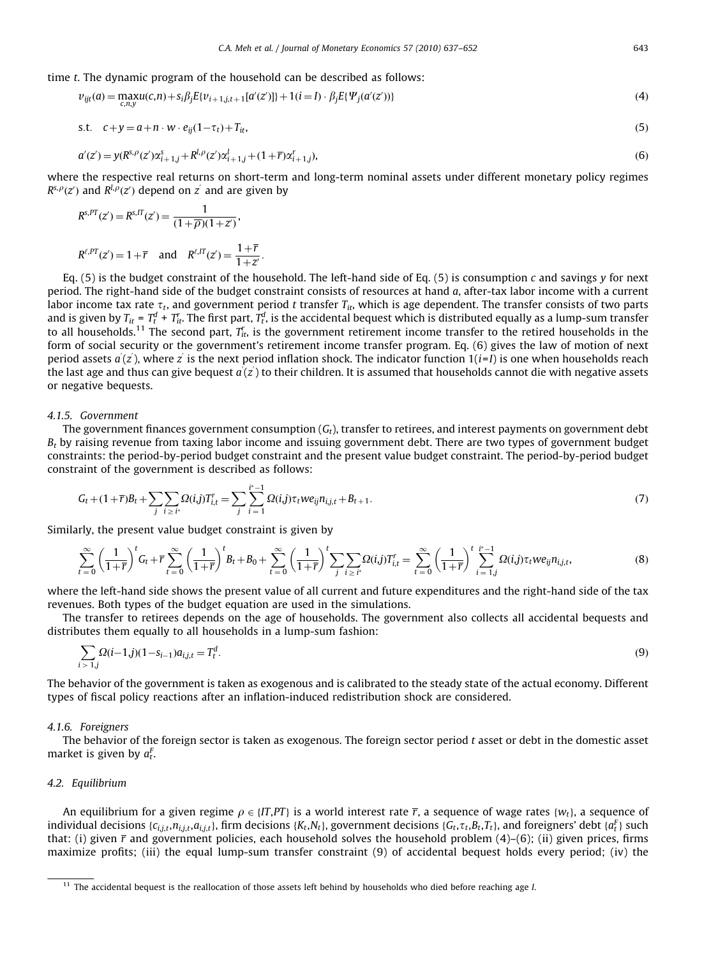time t. The dynamic program of the household can be described as follows:

$$
\nu_{ijt}(a) = \max_{c,n,y} u(c,n) + s_i \beta_j E\{v_{i+1,j,t+1}[a'(z')]\} + 1(i=I) \cdot \beta_j E\{\Psi_j(a'(z'))\}
$$
\n(4)

$$
s.t. \quad c+y = a+n \cdot w \cdot e_{ij}(1-\tau_t) + T_{it}, \tag{5}
$$

$$
a'(z') = y(R^{s,\rho}(z)\alpha_{i+1,j}^s + R^{l,\rho}(z')\alpha_{i+1,j}^l + (1+\overline{r})\alpha_{i+1,j}^r),
$$
\n(6)

where the respective real returns on short-term and long-term nominal assets under different monetary policy regimes  $R^{s,\rho}(z')$  and  $R^{l,\rho}(z')$  depend on  $z^{'}$  and are given by

$$
R^{s,PT}(z') = R^{s,IT}(z') = \frac{1}{(1+\overline{\rho})(1+z')},
$$
  

$$
R^{\ell,PT}(z') = 1+\overline{r} \text{ and } R^{\ell,IT}(z') = \frac{1+\overline{r}}{1+z'}.
$$

Eq.  $(5)$  is the budget constraint of the household. The left-hand side of Eq.  $(5)$  is consumption c and savings y for next period. The right-hand side of the budget constraint consists of resources at hand a, after-tax labor income with a current labor income tax rate  $\tau_t$ , and government period t transfer  $T_{it}$ , which is age dependent. The transfer consists of two parts and is given by  $T_{it}$  =  $T_t^d$  +  $T_{it}^r$ . The first part,  $T_t^d$ , is the accidental bequest which is distributed equally as a lump-sum transfer to all households. $^{11}$  The second part,  $T_{it}$ , is the government retirement income transfer to the retired households in the form of social security or the government's retirement income transfer program. Eq. (6) gives the law of motion of next period assets  $a'(z)$ , where z is the next period inflation shock. The indicator function  $1(i=I)$  is one when households reach the last age and thus can give bequest  $a\acute{}(z)$  to their children. It is assumed that households cannot die with negative assets or negative bequests.

### 4.1.5. Government

The government finances government consumption  $(G_t)$ , transfer to retirees, and interest payments on government debt  $B_t$  by raising revenue from taxing labor income and issuing government debt. There are two types of government budget constraints: the period-by-period budget constraint and the present value budget constraint. The period-by-period budget constraint of the government is described as follows:

$$
G_t + (1 + \overline{r})B_t + \sum_j \sum_{i \geq i^*} \Omega(i,j)T_{i,t}^r = \sum_j \sum_{i=1}^{i^*-1} \Omega(i,j)\tau_t w e_{ij}n_{i,j,t} + B_{t+1}.
$$
\n(7)

Similarly, the present value budget constraint is given by

$$
\sum_{t=0}^{\infty} \left(\frac{1}{1+\bar{r}}\right)^{t} G_{t} + \bar{r} \sum_{t=0}^{\infty} \left(\frac{1}{1+\bar{r}}\right)^{t} B_{t} + B_{0} + \sum_{t=0}^{\infty} \left(\frac{1}{1+\bar{r}}\right)^{t} \sum_{j} \sum_{i \geq i^{*}} \Omega(i,j) T_{i,t}^{r} = \sum_{t=0}^{\infty} \left(\frac{1}{1+\bar{r}}\right)^{t} \sum_{i=1,j}^{i^{*}-1} \Omega(i,j) \tau_{t} w e_{ij} n_{i,j,t}, \tag{8}
$$

where the left-hand side shows the present value of all current and future expenditures and the right-hand side of the tax revenues. Both types of the budget equation are used in the simulations.

The transfer to retirees depends on the age of households. The government also collects all accidental bequests and distributes them equally to all households in a lump-sum fashion:

$$
\sum_{i>1,j}\Omega(i-1,j)(1-s_{i-1})a_{i,j,t}=T_t^d.
$$
\n(9)

The behavior of the government is taken as exogenous and is calibrated to the steady state of the actual economy. Different types of fiscal policy reactions after an inflation-induced redistribution shock are considered.

#### 4.1.6. Foreigners

The behavior of the foreign sector is taken as exogenous. The foreign sector period  $t$  asset or debt in the domestic asset market is given by  $a_t^F$ .

## 4.2. Equilibrium

An equilibrium for a given regime  $\rho \in \{IT, PT\}$  is a world interest rate  $\bar{r}$ , a sequence of wage rates  $\{w_t\}$ , a sequence of individual decisions { $c_{i,j,t},n_{i,j,t},a_{i,j,t}$ }, firm decisions { $K_t,N_t$ }, government decisions { $G_t,\tau_t,B_t,T_t$ }, and foreigners' debt { $a_t^F$ } such that: (i) given  $\bar{r}$  and government policies, each household solves the household problem (4)–(6); (ii) given prices, firms maximize profits; (iii) the equal lump-sum transfer constraint (9) of accidental bequest holds every period; (iv) the

 $11$  The accidental bequest is the reallocation of those assets left behind by households who died before reaching age  $I$ .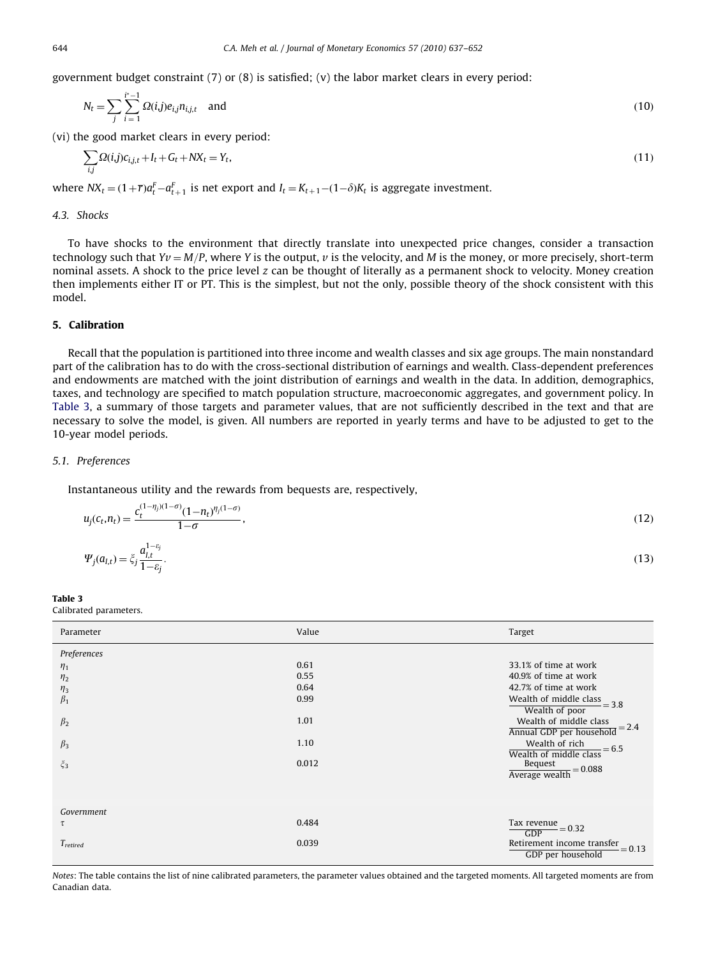government budget constraint  $(7)$  or  $(8)$  is satisfied;  $(v)$  the labor market clears in every period:

$$
N_t = \sum_{j} \sum_{i=1}^{i^* - 1} \Omega(i, j) e_{i, j} n_{i, j, t} \quad \text{and} \tag{10}
$$

(vi) the good market clears in every period:

$$
\sum_{i,j} \Omega(i,j)c_{i,j,t} + I_t + G_t + NX_t = Y_t,\tag{11}
$$

where  $NX_t = (1 + \overline{r}) a_t^F - a_{t+1}^F$  is net export and  $I_t = K_{t+1} - (1 - \delta)K_t$  is aggregate investment.

# 4.3. Shocks

To have shocks to the environment that directly translate into unexpected price changes, consider a transaction technology such that  $Yv = M/P$ , where Y is the output, v is the velocity, and M is the money, or more precisely, short-term nominal assets. A shock to the price level  $z$  can be thought of literally as a permanent shock to velocity. Money creation then implements either IT or PT. This is the simplest, but not the only, possible theory of the shock consistent with this model.

# 5. Calibration

Recall that the population is partitioned into three income and wealth classes and six age groups. The main nonstandard part of the calibration has to do with the cross-sectional distribution of earnings and wealth. Class-dependent preferences and endowments are matched with the joint distribution of earnings and wealth in the data. In addition, demographics, taxes, and technology are specified to match population structure, macroeconomic aggregates, and government policy. In Table 3, a summary of those targets and parameter values, that are not sufficiently described in the text and that are necessary to solve the model, is given. All numbers are reported in yearly terms and have to be adjusted to get to the 10-year model periods.

#### 5.1. Preferences

Instantaneous utility and the rewards from bequests are, respectively,

$$
u_j(c_t, n_t) = \frac{c_t^{(1-\eta_j)(1-\sigma)}(1-n_t)^{\eta_j(1-\sigma)}}{1-\sigma},
$$
  
\n
$$
\Psi_j(a_{l,t}) = \xi_j \frac{a_{l,t}^{1-\varepsilon_j}}{1-\varepsilon_j}.
$$
\n(12)

# Table 3

Calibrated parameters.

| Parameter     | Value | Target                                                        |
|---------------|-------|---------------------------------------------------------------|
| Preferences   |       |                                                               |
| $\eta_1$      | 0.61  | 33.1% of time at work                                         |
| $\eta_2$      | 0.55  | 40.9% of time at work                                         |
| $\eta_3$      | 0.64  | 42.7% of time at work                                         |
| $\beta_1$     | 0.99  | Wealth of middle class $=$ 3.8<br>Wealth of poor              |
| $\beta_2$     | 1.01  | Wealth of middle class<br>$= 2.4$<br>Annual GDP per household |
| $\beta_3$     | 1.10  | Wealth of rich<br>Wealth of middle class $= 6.5$              |
| $\xi_3$       | 0.012 | Bequest<br>$\frac{1}{4}$ = 0.088                              |
|               |       |                                                               |
| Government    |       |                                                               |
| τ             | 0.484 | Tax revenue<br>$= 0.32$<br>GDP                                |
| $T_{retired}$ | 0.039 | Retirement income transfer<br>$= 0.13$<br>GDP per household   |

Notes: The table contains the list of nine calibrated parameters, the parameter values obtained and the targeted moments. All targeted moments are from Canadian data.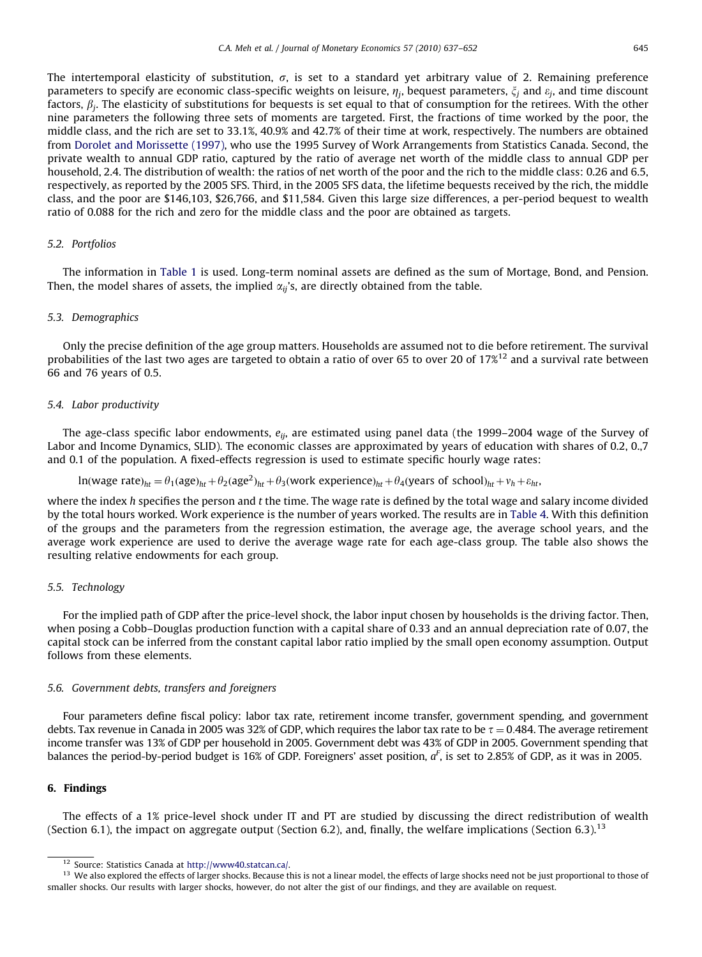The intertemporal elasticity of substitution,  $\sigma$ , is set to a standard yet arbitrary value of 2. Remaining preference parameters to specify are economic class-specific weights on leisure,  $\eta_j$ , bequest parameters,  $\xi_j$  and  $\varepsilon_j$ , and time discount factors,  $\beta_i$ . The elasticity of substitutions for bequests is set equal to that of consumption for the retirees. With the other nine parameters the following three sets of moments are targeted. First, the fractions of time worked by the poor, the middle class, and the rich are set to 33.1%, 40.9% and 42.7% of their time at work, respectively. The numbers are obtained from [Dorolet and Morissette \(1997\)](#page-15-0), who use the 1995 Survey of Work Arrangements from Statistics Canada. Second, the private wealth to annual GDP ratio, captured by the ratio of average net worth of the middle class to annual GDP per household, 2.4. The distribution of wealth: the ratios of net worth of the poor and the rich to the middle class: 0.26 and 6.5, respectively, as reported by the 2005 SFS. Third, in the 2005 SFS data, the lifetime bequests received by the rich, the middle class, and the poor are \$146,103, \$26,766, and \$11,584. Given this large size differences, a per-period bequest to wealth ratio of 0.088 for the rich and zero for the middle class and the poor are obtained as targets.

## 5.2. Portfolios

The information in Table 1 is used. Long-term nominal assets are defined as the sum of Mortage, Bond, and Pension. Then, the model shares of assets, the implied  $\alpha_{ij}$ 's, are directly obtained from the table.

#### 5.3. Demographics

Only the precise definition of the age group matters. Households are assumed not to die before retirement. The survival probabilities of the last two ages are targeted to obtain a ratio of over 65 to over 20 of 17%<sup>12</sup> and a survival rate between 66 and 76 years of 0.5.

## 5.4. Labor productivity

The age-class specific labor endowments,  $e_{ii}$ , are estimated using panel data (the 1999–2004 wage of the Survey of Labor and Income Dynamics, SLID). The economic classes are approximated by years of education with shares of 0.2, 0.,7 and 0.1 of the population. A fixed-effects regression is used to estimate specific hourly wage rates:

# ln $(wage rate)_{ht} = \theta_1 (age)_{ht} + \theta_2 (age^2)_{ht} + \theta_3 (work experience)_{ht} + \theta_4 (years of school)_{ht} + v_h + \varepsilon_{ht}$

where the index  $h$  specifies the person and  $t$  the time. The wage rate is defined by the total wage and salary income divided by the total hours worked. Work experience is the number of years worked. The results are in Table 4. With this definition of the groups and the parameters from the regression estimation, the average age, the average school years, and the average work experience are used to derive the average wage rate for each age-class group. The table also shows the resulting relative endowments for each group.

# 5.5. Technology

For the implied path of GDP after the price-level shock, the labor input chosen by households is the driving factor. Then, when posing a Cobb–Douglas production function with a capital share of 0.33 and an annual depreciation rate of 0.07, the capital stock can be inferred from the constant capital labor ratio implied by the small open economy assumption. Output follows from these elements.

# 5.6. Government debts, transfers and foreigners

Four parameters define fiscal policy: labor tax rate, retirement income transfer, government spending, and government debts. Tax revenue in Canada in 2005 was 32% of GDP, which requires the labor tax rate to be  $\tau = 0.484$ . The average retirement income transfer was 13% of GDP per household in 2005. Government debt was 43% of GDP in 2005. Government spending that balances the period-by-period budget is 16% of GDP. Foreigners' asset position,  $a^F$ , is set to 2.85% of GDP, as it was in 2005.

# 6. Findings

The effects of a 1% price-level shock under IT and PT are studied by discussing the direct redistribution of wealth (Section 6.1), the impact on aggregate output (Section 6.2), and, finally, the welfare implications (Section 6.3).<sup>13</sup>

<sup>12</sup> Source: Statistics Canada at [http://www40.statcan.ca/.](http://www40.statcan.ca/)

<sup>&</sup>lt;sup>13</sup> We also explored the effects of larger shocks. Because this is not a linear model, the effects of large shocks need not be just proportional to those of smaller shocks. Our results with larger shocks, however, do not alter the gist of our findings, and they are available on request.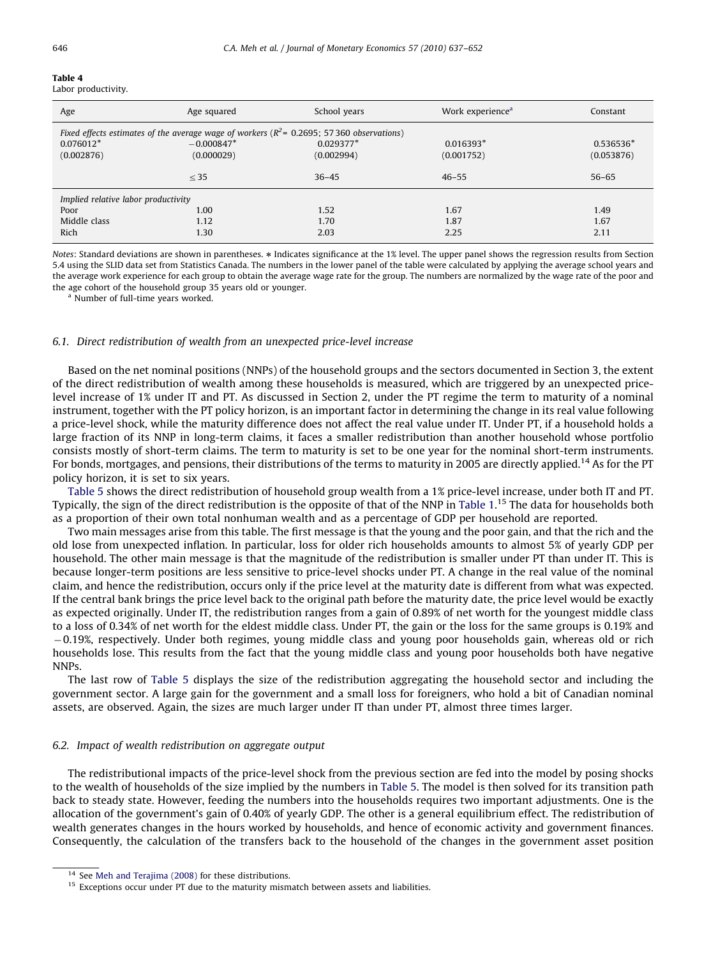| Table 4 |                     |
|---------|---------------------|
|         | Labor productivity. |

| Age                                 | Age squared                                                                                                                 | School years              | Work experience <sup>a</sup> | Constant                |  |
|-------------------------------------|-----------------------------------------------------------------------------------------------------------------------------|---------------------------|------------------------------|-------------------------|--|
| $0.076012*$<br>(0.002876)           | Fixed effects estimates of the average wage of workers ( $R^2$ = 0.2695; 57 360 observations)<br>$-0.000847*$<br>(0.000029) | $0.029377*$<br>(0.002994) | $0.016393*$<br>(0.001752)    | 0.536536*<br>(0.053876) |  |
|                                     | $<$ 35                                                                                                                      | $36 - 45$                 | $46 - 55$                    | $56 - 65$               |  |
| Implied relative labor productivity |                                                                                                                             |                           |                              |                         |  |
| Poor                                | 1.00                                                                                                                        | 1.52                      | 1.67                         | 1.49                    |  |
| Middle class                        | 1.12                                                                                                                        | 1.70                      | 1.87                         | 1.67                    |  |
| Rich                                | 1.30                                                                                                                        | 2.03                      | 2.25                         | 2.11                    |  |

Notes: Standard deviations are shown in parentheses. \* Indicates significance at the 1% level. The upper panel shows the regression results from Section 5.4 using the SLID data set from Statistics Canada. The numbers in the lower panel of the table were calculated by applying the average school years and the average work experience for each group to obtain the average wage rate for the group. The numbers are normalized by the wage rate of the poor and the age cohort of the household group 35 years old or younger.

Number of full-time years worked.

## 6.1. Direct redistribution of wealth from an unexpected price-level increase

Based on the net nominal positions (NNPs) of the household groups and the sectors documented in Section 3, the extent of the direct redistribution of wealth among these households is measured, which are triggered by an unexpected pricelevel increase of 1% under IT and PT. As discussed in Section 2, under the PT regime the term to maturity of a nominal instrument, together with the PT policy horizon, is an important factor in determining the change in its real value following a price-level shock, while the maturity difference does not affect the real value under IT. Under PT, if a household holds a large fraction of its NNP in long-term claims, it faces a smaller redistribution than another household whose portfolio consists mostly of short-term claims. The term to maturity is set to be one year for the nominal short-term instruments. For bonds, mortgages, and pensions, their distributions of the terms to maturity in 2005 are directly applied.<sup>14</sup> As for the PT policy horizon, it is set to six years.

Table 5 shows the direct redistribution of household group wealth from a 1% price-level increase, under both IT and PT. Typically, the sign of the direct redistribution is the opposite of that of the NNP in Table 1. <sup>15</sup> The data for households both as a proportion of their own total nonhuman wealth and as a percentage of GDP per household are reported.

Two main messages arise from this table. The first message is that the young and the poor gain, and that the rich and the old lose from unexpected inflation. In particular, loss for older rich households amounts to almost 5% of yearly GDP per household. The other main message is that the magnitude of the redistribution is smaller under PT than under IT. This is because longer-term positions are less sensitive to price-level shocks under PT. A change in the real value of the nominal claim, and hence the redistribution, occurs only if the price level at the maturity date is different from what was expected. If the central bank brings the price level back to the original path before the maturity date, the price level would be exactly as expected originally. Under IT, the redistribution ranges from a gain of 0.89% of net worth for the youngest middle class to a loss of 0.34% of net worth for the eldest middle class. Under PT, the gain or the loss for the same groups is 0.19% and -0.19%, respectively. Under both regimes, young middle class and young poor households gain, whereas old or rich households lose. This results from the fact that the young middle class and young poor households both have negative NNPs.

The last row of Table 5 displays the size of the redistribution aggregating the household sector and including the government sector. A large gain for the government and a small loss for foreigners, who hold a bit of Canadian nominal assets, are observed. Again, the sizes are much larger under IT than under PT, almost three times larger.

#### 6.2. Impact of wealth redistribution on aggregate output

The redistributional impacts of the price-level shock from the previous section are fed into the model by posing shocks to the wealth of households of the size implied by the numbers in Table 5. The model is then solved for its transition path back to steady state. However, feeding the numbers into the households requires two important adjustments. One is the allocation of the government's gain of 0.40% of yearly GDP. The other is a general equilibrium effect. The redistribution of wealth generates changes in the hours worked by households, and hence of economic activity and government finances. Consequently, the calculation of the transfers back to the household of the changes in the government asset position

<sup>&</sup>lt;sup>14</sup> See [Meh and Terajima \(2008\)](#page-15-0) for these distributions.

<sup>&</sup>lt;sup>15</sup> Exceptions occur under PT due to the maturity mismatch between assets and liabilities.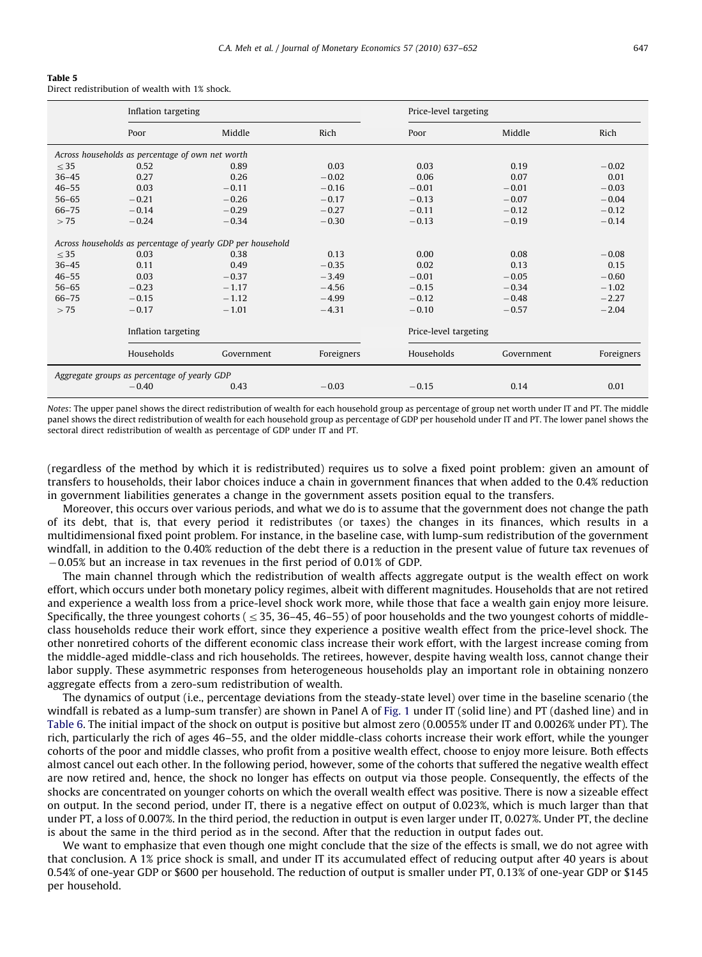#### Table 5

Direct redistribution of wealth with 1% shock.

|           |                                                  | Inflation targeting                                         |            |                       | Price-level targeting |            |  |
|-----------|--------------------------------------------------|-------------------------------------------------------------|------------|-----------------------|-----------------------|------------|--|
|           | Poor                                             | Middle                                                      | Rich       | Poor                  | Middle                | Rich       |  |
|           | Across households as percentage of own net worth |                                                             |            |                       |                       |            |  |
| $\leq$ 35 | 0.52                                             | 0.89                                                        | 0.03       | 0.03                  | 0.19                  | $-0.02$    |  |
| $36 - 45$ | 0.27                                             | 0.26                                                        | $-0.02$    | 0.06                  | 0.07                  | 0.01       |  |
| $46 - 55$ | 0.03                                             | $-0.11$                                                     | $-0.16$    | $-0.01$               | $-0.01$               | $-0.03$    |  |
| $56 - 65$ | $-0.21$                                          | $-0.26$                                                     | $-0.17$    | $-0.13$               | $-0.07$               | $-0.04$    |  |
| $66 - 75$ | $-0.14$                                          | $-0.29$                                                     | $-0.27$    | $-0.11$               | $-0.12$               | $-0.12$    |  |
| >75       | $-0.24$                                          | $-0.34$                                                     | $-0.30$    | $-0.13$               | $-0.19$               | $-0.14$    |  |
|           |                                                  | Across households as percentage of yearly GDP per household |            |                       |                       |            |  |
| $\leq$ 35 | 0.03                                             | 0.38                                                        | 0.13       | 0.00                  | 0.08                  | $-0.08$    |  |
| $36 - 45$ | 0.11                                             | 0.49                                                        | $-0.35$    | 0.02                  | 0.13                  | 0.15       |  |
| $46 - 55$ | 0.03                                             | $-0.37$                                                     | $-3.49$    | $-0.01$               | $-0.05$               | $-0.60$    |  |
| $56 - 65$ | $-0.23$                                          | $-1.17$                                                     | $-4.56$    | $-0.15$               | $-0.34$               | $-1.02$    |  |
| $66 - 75$ | $-0.15$                                          | $-1.12$                                                     | $-4.99$    | $-0.12$               | $-0.48$               | $-2.27$    |  |
| >75       | $-0.17$                                          | $-1.01$                                                     | $-4.31$    | $-0.10$               | $-0.57$               | $-2.04$    |  |
|           | Inflation targeting                              |                                                             |            | Price-level targeting |                       |            |  |
|           | Households                                       | Government                                                  | Foreigners | Households            | Government            | Foreigners |  |
|           | Aggregate groups as percentage of yearly GDP     |                                                             |            |                       |                       |            |  |
|           | $-0.40$                                          | 0.43                                                        | $-0.03$    | $-0.15$               | 0.14                  | 0.01       |  |

Notes: The upper panel shows the direct redistribution of wealth for each household group as percentage of group net worth under IT and PT. The middle panel shows the direct redistribution of wealth for each household group as percentage of GDP per household under IT and PT. The lower panel shows the sectoral direct redistribution of wealth as percentage of GDP under IT and PT.

(regardless of the method by which it is redistributed) requires us to solve a fixed point problem: given an amount of transfers to households, their labor choices induce a chain in government finances that when added to the 0.4% reduction in government liabilities generates a change in the government assets position equal to the transfers.

Moreover, this occurs over various periods, and what we do is to assume that the government does not change the path of its debt, that is, that every period it redistributes (or taxes) the changes in its finances, which results in a multidimensional fixed point problem. For instance, in the baseline case, with lump-sum redistribution of the government windfall, in addition to the 0.40% reduction of the debt there is a reduction in the present value of future tax revenues of -0.05% but an increase in tax revenues in the first period of 0.01% of GDP.

The main channel through which the redistribution of wealth affects aggregate output is the wealth effect on work effort, which occurs under both monetary policy regimes, albeit with different magnitudes. Households that are not retired and experience a wealth loss from a price-level shock work more, while those that face a wealth gain enjoy more leisure. Specifically, the three youngest cohorts ( $\leq$ 35, 36–45, 46–55) of poor households and the two youngest cohorts of middleclass households reduce their work effort, since they experience a positive wealth effect from the price-level shock. The other nonretired cohorts of the different economic class increase their work effort, with the largest increase coming from the middle-aged middle-class and rich households. The retirees, however, despite having wealth loss, cannot change their labor supply. These asymmetric responses from heterogeneous households play an important role in obtaining nonzero aggregate effects from a zero-sum redistribution of wealth.

The dynamics of output (i.e., percentage deviations from the steady-state level) over time in the baseline scenario (the windfall is rebated as a lump-sum transfer) are shown in Panel A of [Fig. 1](#page-11-0) under IT (solid line) and PT (dashed line) and in Table 6. The initial impact of the shock on output is positive but almost zero (0.0055% under IT and 0.0026% under PT). The rich, particularly the rich of ages 46–55, and the older middle-class cohorts increase their work effort, while the younger cohorts of the poor and middle classes, who profit from a positive wealth effect, choose to enjoy more leisure. Both effects almost cancel out each other. In the following period, however, some of the cohorts that suffered the negative wealth effect are now retired and, hence, the shock no longer has effects on output via those people. Consequently, the effects of the shocks are concentrated on younger cohorts on which the overall wealth effect was positive. There is now a sizeable effect on output. In the second period, under IT, there is a negative effect on output of 0.023%, which is much larger than that under PT, a loss of 0.007%. In the third period, the reduction in output is even larger under IT, 0.027%. Under PT, the decline is about the same in the third period as in the second. After that the reduction in output fades out.

We want to emphasize that even though one might conclude that the size of the effects is small, we do not agree with that conclusion. A 1% price shock is small, and under IT its accumulated effect of reducing output after 40 years is about 0.54% of one-year GDP or \$600 per household. The reduction of output is smaller under PT, 0.13% of one-year GDP or \$145 per household.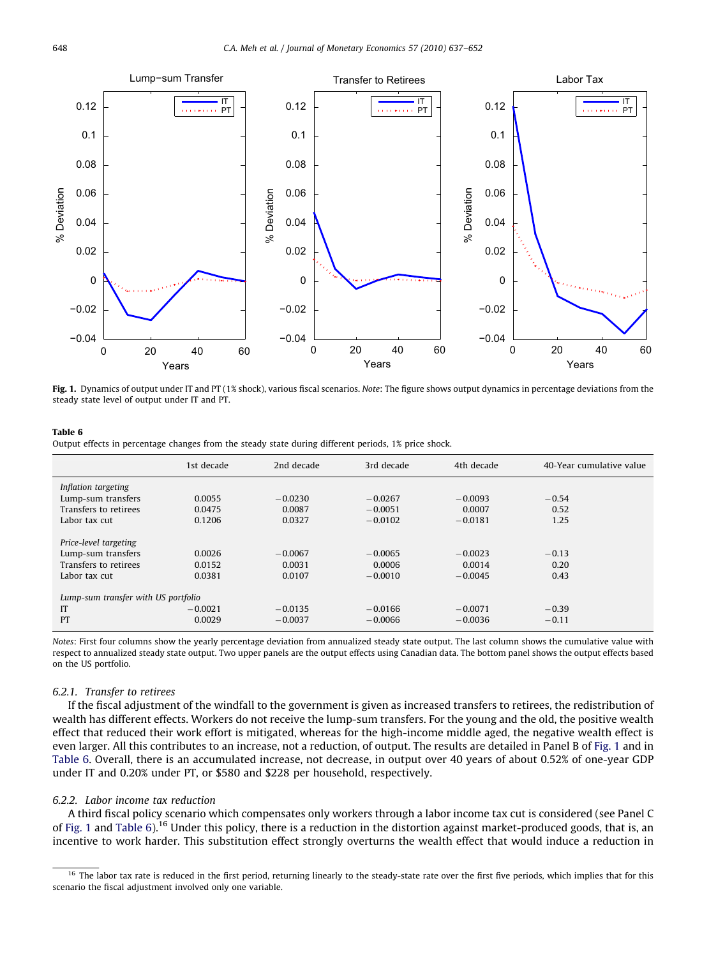<span id="page-11-0"></span>

Fig. 1. Dynamics of output under IT and PT (1% shock), various fiscal scenarios. Note: The figure shows output dynamics in percentage deviations from the steady state level of output under IT and PT.

#### Table 6

Output effects in percentage changes from the steady state during different periods, 1% price shock.

|                                     | 1st decade | 2nd decade | 3rd decade | 4th decade | 40-Year cumulative value |
|-------------------------------------|------------|------------|------------|------------|--------------------------|
| Inflation targeting                 |            |            |            |            |                          |
| Lump-sum transfers                  | 0.0055     | $-0.0230$  | $-0.0267$  | $-0.0093$  | $-0.54$                  |
| Transfers to retirees               | 0.0475     | 0.0087     | $-0.0051$  | 0.0007     | 0.52                     |
| Labor tax cut                       | 0.1206     | 0.0327     | $-0.0102$  | $-0.0181$  | 1.25                     |
| Price-level targeting               |            |            |            |            |                          |
| Lump-sum transfers                  | 0.0026     | $-0.0067$  | $-0.0065$  | $-0.0023$  | $-0.13$                  |
| Transfers to retirees               | 0.0152     | 0.0031     | 0.0006     | 0.0014     | 0.20                     |
| Labor tax cut                       | 0.0381     | 0.0107     | $-0.0010$  | $-0.0045$  | 0.43                     |
| Lump-sum transfer with US portfolio |            |            |            |            |                          |
| IT                                  | $-0.0021$  | $-0.0135$  | $-0.0166$  | $-0.0071$  | $-0.39$                  |
| PT                                  | 0.0029     | $-0.0037$  | $-0.0066$  | $-0.0036$  | $-0.11$                  |

Notes: First four columns show the yearly percentage deviation from annualized steady state output. The last column shows the cumulative value with respect to annualized steady state output. Two upper panels are the output effects using Canadian data. The bottom panel shows the output effects based on the US portfolio.

# 6.2.1. Transfer to retirees

If the fiscal adjustment of the windfall to the government is given as increased transfers to retirees, the redistribution of wealth has different effects. Workers do not receive the lump-sum transfers. For the young and the old, the positive wealth effect that reduced their work effort is mitigated, whereas for the high-income middle aged, the negative wealth effect is even larger. All this contributes to an increase, not a reduction, of output. The results are detailed in Panel B of Fig. 1 and in Table 6. Overall, there is an accumulated increase, not decrease, in output over 40 years of about 0.52% of one-year GDP under IT and 0.20% under PT, or \$580 and \$228 per household, respectively.

# 6.2.2. Labor income tax reduction

A third fiscal policy scenario which compensates only workers through a labor income tax cut is considered (see Panel C of Fig. 1 and Table 6).16 Under this policy, there is a reduction in the distortion against market-produced goods, that is, an incentive to work harder. This substitution effect strongly overturns the wealth effect that would induce a reduction in

<sup>&</sup>lt;sup>16</sup> The labor tax rate is reduced in the first period, returning linearly to the steady-state rate over the first five periods, which implies that for this scenario the fiscal adjustment involved only one variable.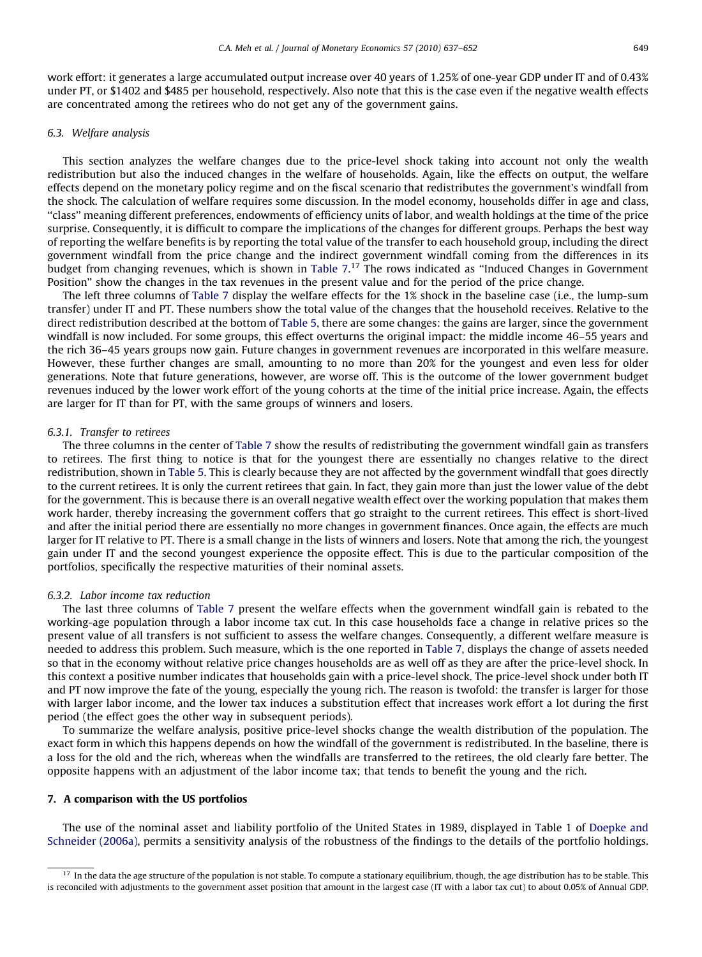work effort: it generates a large accumulated output increase over 40 years of 1.25% of one-year GDP under IT and of 0.43% under PT, or \$1402 and \$485 per household, respectively. Also note that this is the case even if the negative wealth effects are concentrated among the retirees who do not get any of the government gains.

#### 6.3. Welfare analysis

This section analyzes the welfare changes due to the price-level shock taking into account not only the wealth redistribution but also the induced changes in the welfare of households. Again, like the effects on output, the welfare effects depend on the monetary policy regime and on the fiscal scenario that redistributes the government's windfall from the shock. The calculation of welfare requires some discussion. In the model economy, households differ in age and class, ''class'' meaning different preferences, endowments of efficiency units of labor, and wealth holdings at the time of the price surprise. Consequently, it is difficult to compare the implications of the changes for different groups. Perhaps the best way of reporting the welfare benefits is by reporting the total value of the transfer to each household group, including the direct government windfall from the price change and the indirect government windfall coming from the differences in its budget from changing revenues, which is shown in Table 7.<sup>17</sup> The rows indicated as "Induced Changes in Government Position'' show the changes in the tax revenues in the present value and for the period of the price change.

The left three columns of Table 7 display the welfare effects for the 1% shock in the baseline case (i.e., the lump-sum transfer) under IT and PT. These numbers show the total value of the changes that the household receives. Relative to the direct redistribution described at the bottom of Table 5, there are some changes: the gains are larger, since the government windfall is now included. For some groups, this effect overturns the original impact: the middle income 46–55 years and the rich 36–45 years groups now gain. Future changes in government revenues are incorporated in this welfare measure. However, these further changes are small, amounting to no more than 20% for the youngest and even less for older generations. Note that future generations, however, are worse off. This is the outcome of the lower government budget revenues induced by the lower work effort of the young cohorts at the time of the initial price increase. Again, the effects are larger for IT than for PT, with the same groups of winners and losers.

#### 6.3.1. Transfer to retirees

The three columns in the center of Table 7 show the results of redistributing the government windfall gain as transfers to retirees. The first thing to notice is that for the youngest there are essentially no changes relative to the direct redistribution, shown in Table 5. This is clearly because they are not affected by the government windfall that goes directly to the current retirees. It is only the current retirees that gain. In fact, they gain more than just the lower value of the debt for the government. This is because there is an overall negative wealth effect over the working population that makes them work harder, thereby increasing the government coffers that go straight to the current retirees. This effect is short-lived and after the initial period there are essentially no more changes in government finances. Once again, the effects are much larger for IT relative to PT. There is a small change in the lists of winners and losers. Note that among the rich, the youngest gain under IT and the second youngest experience the opposite effect. This is due to the particular composition of the portfolios, specifically the respective maturities of their nominal assets.

#### 6.3.2. Labor income tax reduction

The last three columns of Table 7 present the welfare effects when the government windfall gain is rebated to the working-age population through a labor income tax cut. In this case households face a change in relative prices so the present value of all transfers is not sufficient to assess the welfare changes. Consequently, a different welfare measure is needed to address this problem. Such measure, which is the one reported in Table 7, displays the change of assets needed so that in the economy without relative price changes households are as well off as they are after the price-level shock. In this context a positive number indicates that households gain with a price-level shock. The price-level shock under both IT and PT now improve the fate of the young, especially the young rich. The reason is twofold: the transfer is larger for those with larger labor income, and the lower tax induces a substitution effect that increases work effort a lot during the first period (the effect goes the other way in subsequent periods).

To summarize the welfare analysis, positive price-level shocks change the wealth distribution of the population. The exact form in which this happens depends on how the windfall of the government is redistributed. In the baseline, there is a loss for the old and the rich, whereas when the windfalls are transferred to the retirees, the old clearly fare better. The opposite happens with an adjustment of the labor income tax; that tends to benefit the young and the rich.

### 7. A comparison with the US portfolios

The use of the nominal asset and liability portfolio of the United States in 1989, displayed in Table 1 of [Doepke and](#page-15-0) [Schneider \(2006a\),](#page-15-0) permits a sensitivity analysis of the robustness of the findings to the details of the portfolio holdings.

 $17$  In the data the age structure of the population is not stable. To compute a stationary equilibrium, though, the age distribution has to be stable. This is reconciled with adjustments to the government asset position that amount in the largest case (IT with a labor tax cut) to about 0.05% of Annual GDP.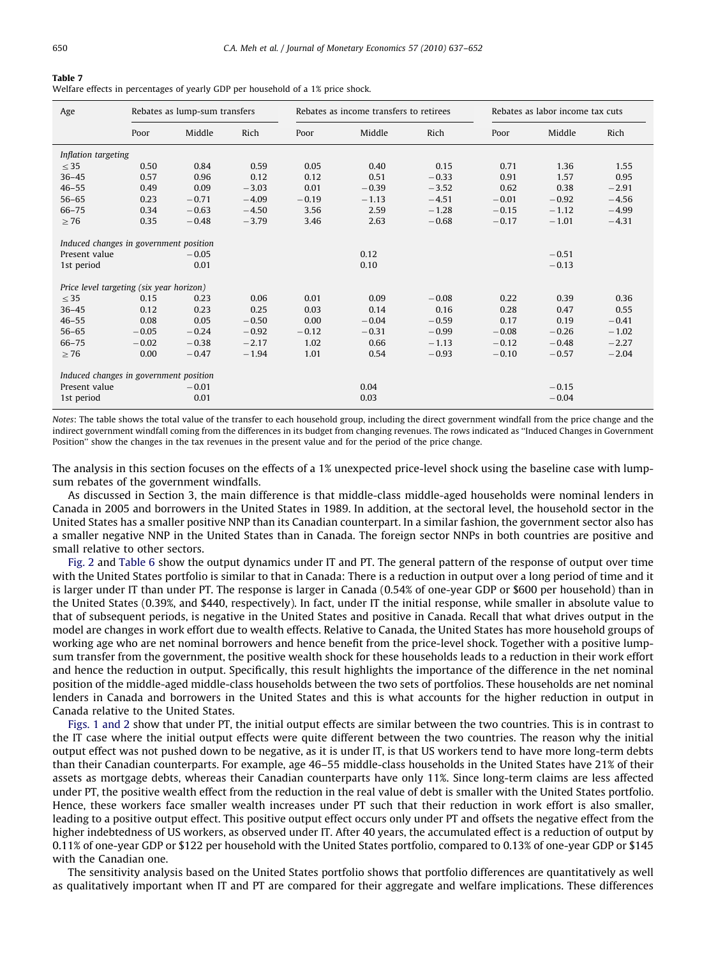| Table 7                                                                         |  |
|---------------------------------------------------------------------------------|--|
| Welfare effects in percentages of yearly GDP per household of a 1% price shock. |  |

| Age                                      | Rebates as lump-sum transfers |         |         |         | Rebates as income transfers to retirees |         |         | Rebates as labor income tax cuts |         |  |
|------------------------------------------|-------------------------------|---------|---------|---------|-----------------------------------------|---------|---------|----------------------------------|---------|--|
|                                          | Poor                          | Middle  | Rich    | Poor    | Middle                                  | Rich    | Poor    | Middle                           | Rich    |  |
| Inflation targeting                      |                               |         |         |         |                                         |         |         |                                  |         |  |
| $\leq$ 35                                | 0.50                          | 0.84    | 0.59    | 0.05    | 0.40                                    | 0.15    | 0.71    | 1.36                             | 1.55    |  |
| $36 - 45$                                | 0.57                          | 0.96    | 0.12    | 0.12    | 0.51                                    | $-0.33$ | 0.91    | 1.57                             | 0.95    |  |
| $46 - 55$                                | 0.49                          | 0.09    | $-3.03$ | 0.01    | $-0.39$                                 | $-3.52$ | 0.62    | 0.38                             | $-2.91$ |  |
| $56 - 65$                                | 0.23                          | $-0.71$ | $-4.09$ | $-0.19$ | $-1.13$                                 | $-4.51$ | $-0.01$ | $-0.92$                          | $-4.56$ |  |
| 66-75                                    | 0.34                          | $-0.63$ | $-4.50$ | 3.56    | 2.59                                    | $-1.28$ | $-0.15$ | $-1.12$                          | $-4.99$ |  |
| $\geq 76$                                | 0.35                          | $-0.48$ | $-3.79$ | 3.46    | 2.63                                    | $-0.68$ | $-0.17$ | $-1.01$                          | $-4.31$ |  |
| Induced changes in government position   |                               |         |         |         |                                         |         |         |                                  |         |  |
| Present value                            |                               | $-0.05$ |         |         | 0.12                                    |         |         | $-0.51$                          |         |  |
| 1st period                               |                               | 0.01    |         |         | 0.10                                    |         |         | $-0.13$                          |         |  |
| Price level targeting (six year horizon) |                               |         |         |         |                                         |         |         |                                  |         |  |
| $\leq$ 35                                | 0.15                          | 0.23    | 0.06    | 0.01    | 0.09                                    | $-0.08$ | 0.22    | 0.39                             | 0.36    |  |
| $36 - 45$                                | 0.12                          | 0.23    | 0.25    | 0.03    | 0.14                                    | 0.16    | 0.28    | 0.47                             | 0.55    |  |
| $46 - 55$                                | 0.08                          | 0.05    | $-0.50$ | 0.00    | $-0.04$                                 | $-0.59$ | 0.17    | 0.19                             | $-0.41$ |  |
| $56 - 65$                                | $-0.05$                       | $-0.24$ | $-0.92$ | $-0.12$ | $-0.31$                                 | $-0.99$ | $-0.08$ | $-0.26$                          | $-1.02$ |  |
| $66 - 75$                                | $-0.02$                       | $-0.38$ | $-2.17$ | 1.02    | 0.66                                    | $-1.13$ | $-0.12$ | $-0.48$                          | $-2.27$ |  |
| $\geq 76$                                | 0.00                          | $-0.47$ | $-1.94$ | 1.01    | 0.54                                    | $-0.93$ | $-0.10$ | $-0.57$                          | $-2.04$ |  |
| Induced changes in government position   |                               |         |         |         |                                         |         |         |                                  |         |  |
| Present value                            |                               | $-0.01$ |         |         | 0.04                                    |         |         | $-0.15$                          |         |  |
| 1st period                               |                               | 0.01    |         |         | 0.03                                    |         |         | $-0.04$                          |         |  |

Notes: The table shows the total value of the transfer to each household group, including the direct government windfall from the price change and the indirect government windfall coming from the differences in its budget from changing revenues. The rows indicated as ''Induced Changes in Government Position'' show the changes in the tax revenues in the present value and for the period of the price change.

The analysis in this section focuses on the effects of a 1% unexpected price-level shock using the baseline case with lumpsum rebates of the government windfalls.

As discussed in Section 3, the main difference is that middle-class middle-aged households were nominal lenders in Canada in 2005 and borrowers in the United States in 1989. In addition, at the sectoral level, the household sector in the United States has a smaller positive NNP than its Canadian counterpart. In a similar fashion, the government sector also has a smaller negative NNP in the United States than in Canada. The foreign sector NNPs in both countries are positive and small relative to other sectors.

[Fig. 2](#page-14-0) and Table 6 show the output dynamics under IT and PT. The general pattern of the response of output over time with the United States portfolio is similar to that in Canada: There is a reduction in output over a long period of time and it is larger under IT than under PT. The response is larger in Canada (0.54% of one-year GDP or \$600 per household) than in the United States (0.39%, and \$440, respectively). In fact, under IT the initial response, while smaller in absolute value to that of subsequent periods, is negative in the United States and positive in Canada. Recall that what drives output in the model are changes in work effort due to wealth effects. Relative to Canada, the United States has more household groups of working age who are net nominal borrowers and hence benefit from the price-level shock. Together with a positive lumpsum transfer from the government, the positive wealth shock for these households leads to a reduction in their work effort and hence the reduction in output. Specifically, this result highlights the importance of the difference in the net nominal position of the middle-aged middle-class households between the two sets of portfolios. These households are net nominal lenders in Canada and borrowers in the United States and this is what accounts for the higher reduction in output in Canada relative to the United States.

[Figs. 1 and 2](#page-11-0) show that under PT, the initial output effects are similar between the two countries. This is in contrast to the IT case where the initial output effects were quite different between the two countries. The reason why the initial output effect was not pushed down to be negative, as it is under IT, is that US workers tend to have more long-term debts than their Canadian counterparts. For example, age 46–55 middle-class households in the United States have 21% of their assets as mortgage debts, whereas their Canadian counterparts have only 11%. Since long-term claims are less affected under PT, the positive wealth effect from the reduction in the real value of debt is smaller with the United States portfolio. Hence, these workers face smaller wealth increases under PT such that their reduction in work effort is also smaller, leading to a positive output effect. This positive output effect occurs only under PT and offsets the negative effect from the higher indebtedness of US workers, as observed under IT. After 40 years, the accumulated effect is a reduction of output by 0.11% of one-year GDP or \$122 per household with the United States portfolio, compared to 0.13% of one-year GDP or \$145 with the Canadian one.

The sensitivity analysis based on the United States portfolio shows that portfolio differences are quantitatively as well as qualitatively important when IT and PT are compared for their aggregate and welfare implications. These differences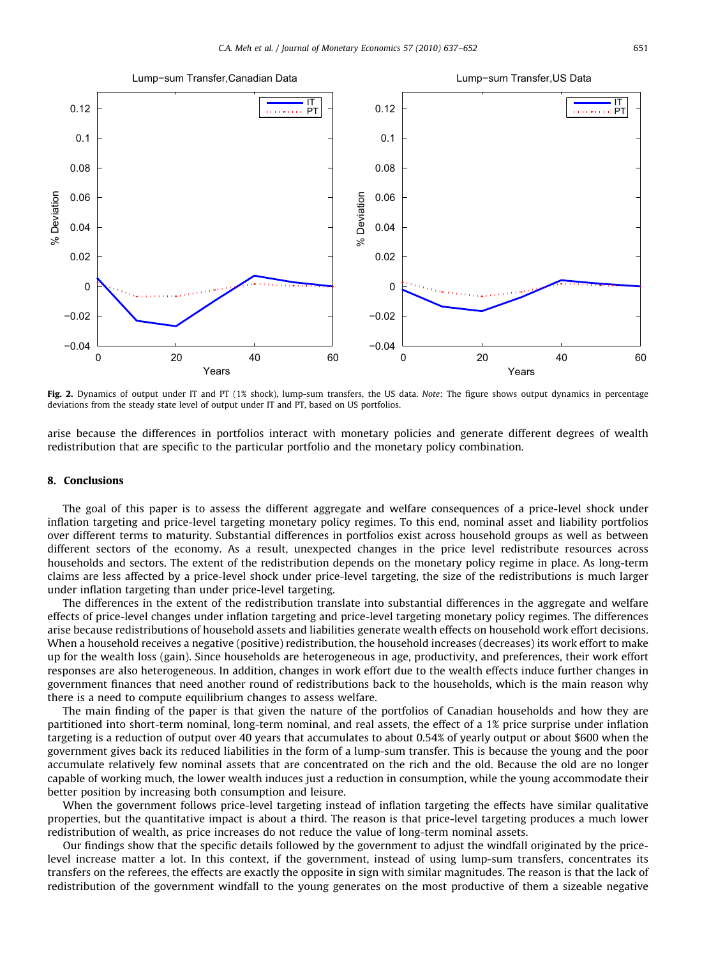<span id="page-14-0"></span>

Fig. 2. Dynamics of output under IT and PT (1% shock), lump-sum transfers, the US data. Note: The figure shows output dynamics in percentage deviations from the steady state level of output under IT and PT, based on US portfolios.

arise because the differences in portfolios interact with monetary policies and generate different degrees of wealth redistribution that are specific to the particular portfolio and the monetary policy combination.

#### 8. Conclusions

The goal of this paper is to assess the different aggregate and welfare consequences of a price-level shock under inflation targeting and price-level targeting monetary policy regimes. To this end, nominal asset and liability portfolios over different terms to maturity. Substantial differences in portfolios exist across household groups as well as between different sectors of the economy. As a result, unexpected changes in the price level redistribute resources across households and sectors. The extent of the redistribution depends on the monetary policy regime in place. As long-term claims are less affected by a price-level shock under price-level targeting, the size of the redistributions is much larger under inflation targeting than under price-level targeting.

The differences in the extent of the redistribution translate into substantial differences in the aggregate and welfare effects of price-level changes under inflation targeting and price-level targeting monetary policy regimes. The differences arise because redistributions of household assets and liabilities generate wealth effects on household work effort decisions. When a household receives a negative (positive) redistribution, the household increases (decreases) its work effort to make up for the wealth loss (gain). Since households are heterogeneous in age, productivity, and preferences, their work effort responses are also heterogeneous. In addition, changes in work effort due to the wealth effects induce further changes in government finances that need another round of redistributions back to the households, which is the main reason why there is a need to compute equilibrium changes to assess welfare.

The main finding of the paper is that given the nature of the portfolios of Canadian households and how they are partitioned into short-term nominal, long-term nominal, and real assets, the effect of a 1% price surprise under inflation targeting is a reduction of output over 40 years that accumulates to about 0.54% of yearly output or about \$600 when the government gives back its reduced liabilities in the form of a lump-sum transfer. This is because the young and the poor accumulate relatively few nominal assets that are concentrated on the rich and the old. Because the old are no longer capable of working much, the lower wealth induces just a reduction in consumption, while the young accommodate their better position by increasing both consumption and leisure.

When the government follows price-level targeting instead of inflation targeting the effects have similar qualitative properties, but the quantitative impact is about a third. The reason is that price-level targeting produces a much lower redistribution of wealth, as price increases do not reduce the value of long-term nominal assets.

Our findings show that the specific details followed by the government to adjust the windfall originated by the pricelevel increase matter a lot. In this context, if the government, instead of using lump-sum transfers, concentrates its transfers on the referees, the effects are exactly the opposite in sign with similar magnitudes. The reason is that the lack of redistribution of the government windfall to the young generates on the most productive of them a sizeable negative